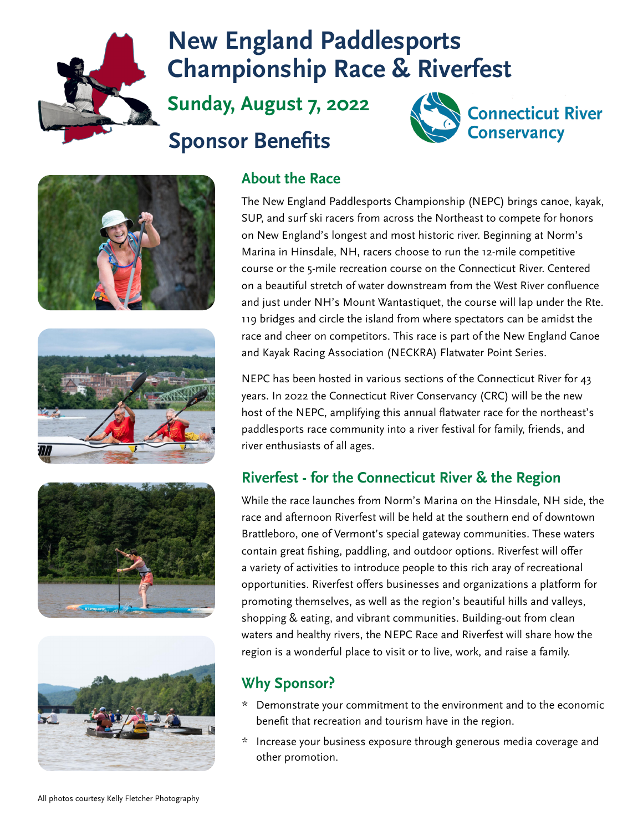

# **New England Paddlesports Championship Race & Riverfest**

**Sunday, August 7, 2022**

# **Sponsor Benefits**











### **About the Race**

The New England Paddlesports Championship (NEPC) brings canoe, kayak, SUP, and surf ski racers from across the Northeast to compete for honors on New England's longest and most historic river. Beginning at Norm's Marina in Hinsdale, NH, racers choose to run the 12-mile competitive course or the 5-mile recreation course on the Connecticut River. Centered on a beautiful stretch of water downstream from the West River confluence and just under NH's Mount Wantastiquet, the course will lap under the Rte. 119 bridges and circle the island from where spectators can be amidst the race and cheer on competitors. This race is part of the New England Canoe and Kayak Racing Association (NECKRA) Flatwater Point Series.

NEPC has been hosted in various sections of the Connecticut River for 43 years. In 2022 the Connecticut River Conservancy (CRC) will be the new host of the NEPC, amplifying this annual flatwater race for the northeast's paddlesports race community into a river festival for family, friends, and river enthusiasts of all ages.

### **Riverfest - for the Connecticut River & the Region**

While the race launches from Norm's Marina on the Hinsdale, NH side, the race and afternoon Riverfest will be held at the southern end of downtown Brattleboro, one of Vermont's special gateway communities. These waters contain great fishing, paddling, and outdoor options. Riverfest will offer a variety of activities to introduce people to this rich aray of recreational opportunities. Riverfest offers businesses and organizations a platform for promoting themselves, as well as the region's beautiful hills and valleys, shopping & eating, and vibrant communities. Building-out from clean waters and healthy rivers, the NEPC Race and Riverfest will share how the region is a wonderful place to visit or to live, work, and raise a family.

### **Why Sponsor?**

- \* Demonstrate your commitment to the environment and to the economic benefit that recreation and tourism have in the region.
- \* Increase your business exposure through generous media coverage and other promotion.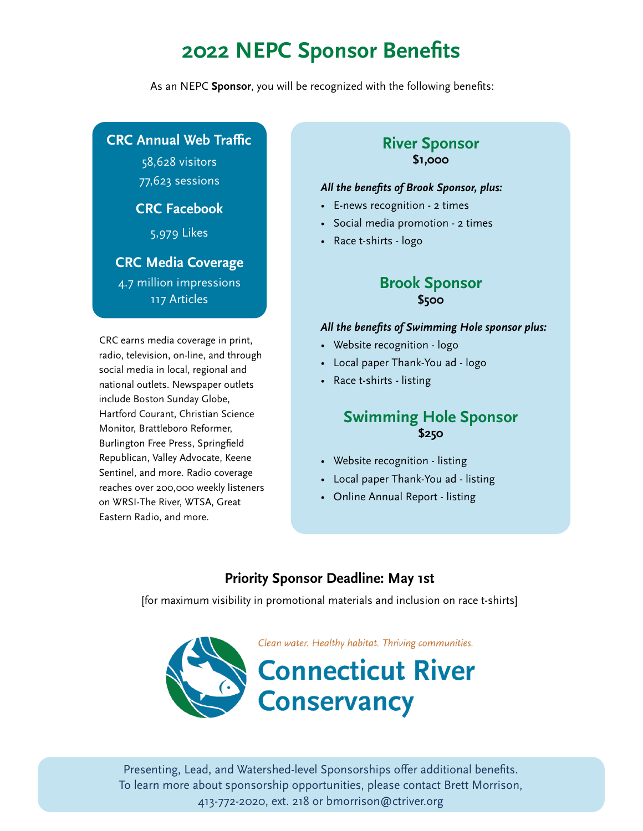## **2022 NEPC Sponsor Benefits**

As an NEPC **Sponsor**, you will be recognized with the following benefits:

#### **CRC Annual Web Traffic**

58,628 visitors 77,623 sessions

#### **CRC Facebook**

5,979 Likes

#### **CRC Media Coverage**

4.7 million impressions 117 Articles

CRC earns media coverage in print, radio, television, on-line, and through social media in local, regional and national outlets. Newspaper outlets include Boston Sunday Globe, Hartford Courant, Christian Science Monitor, Brattleboro Reformer, Burlington Free Press, Springfield Republican, Valley Advocate, Keene Sentinel, and more. Radio coverage reaches over 200,000 weekly listeners on WRSI-The River, WTSA, Great Eastern Radio, and more.

#### **River Sponsor \$1,000**

#### *All the benefits of Brook Sponsor, plus:*

- E-news recognition 2 times
- Social media promotion 2 times
- Race t-shirts logo

#### **Brook Sponsor \$500**

#### *All the benefits of Swimming Hole sponsor plus:*

- Website recognition logo
- Local paper Thank-You ad logo
- Race t-shirts listing

#### **Swimming Hole Sponsor \$250**

- Website recognition listing
- Local paper Thank-You ad listing
- Online Annual Report listing

#### **Priority Sponsor Deadline: May 1st**

[for maximum visibility in promotional materials and inclusion on race t-shirts]



Presenting, Lead, and Watershed-level Sponsorships offer additional benefits. To learn more about sponsorship opportunities, please contact Brett Morrison, 413-772-2020, ext. 218 or bmorrison@ctriver.org